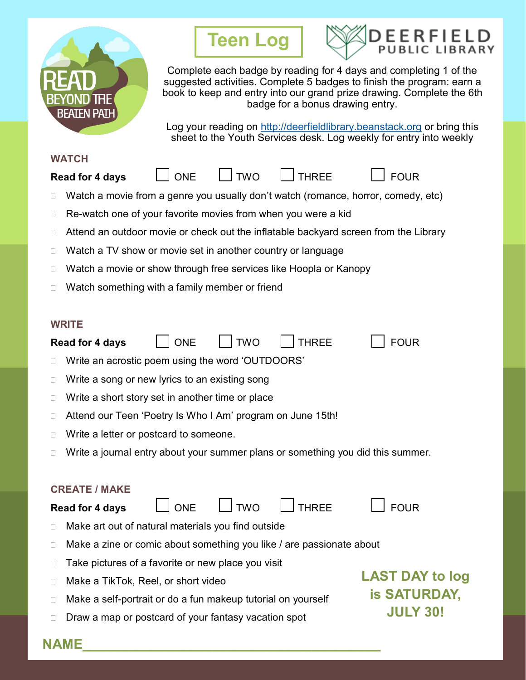

# **Teen Log**



Complete each badge by reading for 4 days and completing 1 of the suggested activities. Complete 5 badges to finish the program: earn a book to keep and entry into our grand prize drawing. Complete the 6th badge for a bonus drawing entry.

Log your reading on <http://deerfieldlibrary.beanstack.org> or bring this sheet to the Youth Services desk. Log weekly for entry into weekly

#### **WATCH**



- 
- $\Box$  Watch a movie from a genre you usually don't watch (romance, horror, comedy, etc)
- $\Box$  Re-watch one of your favorite movies from when you were a kid
- $\Box$  Attend an outdoor movie or check out the inflatable backyard screen from the Library
- $\Box$  Watch a TV show or movie set in another country or language
- □ Watch a movie or show through free services like Hoopla or Kanopy
- $\Box$  Watch something with a family member or friend

### **WRITE**

|                                                       | <b>ONE</b><br><b>FOUR</b><br><b>TWO</b><br><b>THREE</b><br><b>Read for 4 days</b>   |                 |  |
|-------------------------------------------------------|-------------------------------------------------------------------------------------|-----------------|--|
| Write an acrostic poem using the word 'OUTDOORS'<br>Ш |                                                                                     |                 |  |
| Ш                                                     | Write a song or new lyrics to an existing song                                      |                 |  |
| Ш                                                     | Write a short story set in another time or place                                    |                 |  |
| ⊔                                                     | Attend our Teen 'Poetry Is Who I Am' program on June 15th!                          |                 |  |
| Ш                                                     | Write a letter or postcard to someone.                                              |                 |  |
| Н                                                     | Write a journal entry about your summer plans or something you did this summer.     |                 |  |
|                                                       |                                                                                     |                 |  |
| <b>CREATE / MAKE</b>                                  |                                                                                     |                 |  |
|                                                       | <b>FOUR</b><br><b>ONE</b><br><b>TWO</b><br><b>THREE</b><br><b>Read for 4 days</b>   |                 |  |
| ⊔                                                     | Make art out of natural materials you find outside                                  |                 |  |
| Ш                                                     | Make a zine or comic about something you like / are passionate about                |                 |  |
| ⊔                                                     | Take pictures of a favorite or new place you visit                                  |                 |  |
| $\mathbf{L}$                                          | <b>LAST DAY to log</b><br>Make a TikTok, Reel, or short video                       |                 |  |
| ⊔                                                     | <b>is SATURDAY,</b><br>Make a self-portrait or do a fun makeup tutorial on yourself |                 |  |
| ⊔                                                     | Draw a map or postcard of your fantasy vacation spot                                | <b>JULY 30!</b> |  |
| NAMH                                                  |                                                                                     |                 |  |